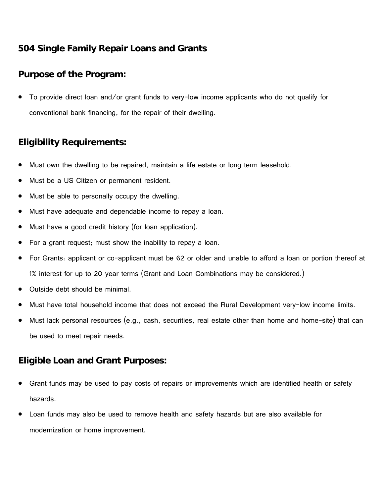# **504 Single Family Repair Loans and Grants**

## **Purpose of the Program:**

• To provide direct loan and/or grant funds to very-low income applicants who do not qualify for conventional bank financing, for the repair of their dwelling.

# **Eligibility Requirements:**

- Must own the dwelling to be repaired, maintain a life estate or long term leasehold.
- Must be a US Citizen or permanent resident.
- Must be able to personally occupy the dwelling.
- Must have adequate and dependable income to repay a loan.
- Must have a good credit history (for loan application).
- For a grant request; must show the inability to repay a loan.
- For Grants: applicant or co-applicant must be 62 or older and unable to afford a loan or portion thereof at 1% interest for up to 20 year terms (Grant and Loan Combinations may be considered.)
- Outside debt should be minimal.
- Must have total household income that does not exceed the Rural Development very-low income limits.
- Must lack personal resources (e.g., cash, securities, real estate other than home and home-site) that can be used to meet repair needs.

### **Eligible Loan and Grant Purposes:**

- Grant funds may be used to pay costs of repairs or improvements which are identified health or safety hazards.
- Loan funds may also be used to remove health and safety hazards but are also available for modernization or home improvement.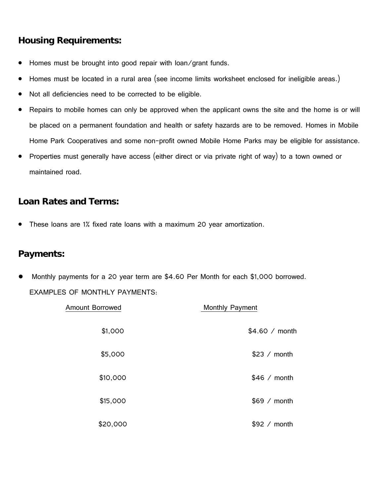# **Housing Requirements:**

- Homes must be brought into good repair with loan/grant funds.
- Homes must be located in a rural area (see income limits worksheet enclosed for ineligible areas.)
- Not all deficiencies need to be corrected to be eligible.
- Repairs to mobile homes can only be approved when the applicant owns the site and the home is or will be placed on a permanent foundation and health or safety hazards are to be removed. Homes in Mobile Home Park Cooperatives and some non-profit owned Mobile Home Parks may be eligible for assistance.
- Properties must generally have access (either direct or via private right of way) to a town owned or maintained road.

### **Loan Rates and Terms:**

• These loans are 1% fixed rate loans with a maximum 20 year amortization.

#### **Payments:**

Monthly payments for a 20 year term are \$4.60 Per Month for each \$1,000 borrowed. EXAMPLES OF MONTHLY PAYMENTS:

| <b>Amount Borrowed</b> | Monthly Payment |
|------------------------|-----------------|
| \$1,000                | \$4.60 / month  |
| \$5,000                | \$23 / month    |
| \$10,000               | \$46 / month    |
| \$15,000               | \$69 / month    |
| \$20,000               | \$92 / month    |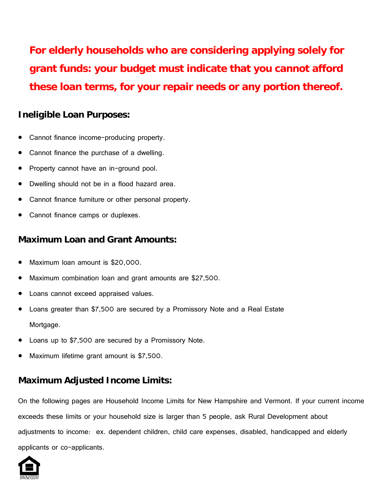**For elderly households who are considering applying solely for grant funds: your budget must indicate that you cannot afford these loan terms, for your repair needs or any portion thereof.**

## **Ineligible Loan Purposes:**

- Cannot finance income-producing property.
- Cannot finance the purchase of a dwelling.
- Property cannot have an in-ground pool.
- Dwelling should not be in a flood hazard area.
- Cannot finance furniture or other personal property.
- Cannot finance camps or duplexes.

### **Maximum Loan and Grant Amounts:**

- Maximum loan amount is \$20,000.
- Maximum combination loan and grant amounts are \$27,500.
- Loans cannot exceed appraised values.
- Loans greater than \$7,500 are secured by a Promissory Note and a Real Estate Mortgage.
- Loans up to \$7,500 are secured by a Promissory Note.
- Maximum lifetime grant amount is \$7,500.

# **Maximum Adjusted Income Limits:**

On the following pages are Household Income Limits for New Hampshire and Vermont. If your current income exceeds these limits or your household size is larger than 5 people, ask Rural Development about adjustments to income: ex. dependent children, child care expenses, disabled, handicapped and elderly applicants or co-applicants.

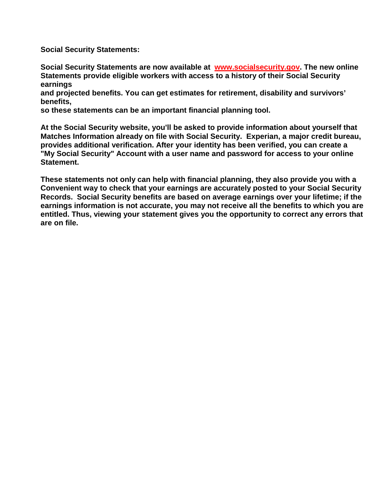**Social Security Statements:**

**Social Security Statements are now available at [www.socialsecurity.gov.](http://www.socialsecurity.gov/) The new online Statements provide eligible workers with access to a history of their Social Security earnings** 

**and projected benefits. You can get estimates for retirement, disability and survivors' benefits,** 

**so these statements can be an important financial planning tool.**

**At the Social Security website, you'll be asked to provide information about yourself that Matches Information already on file with Social Security. Experian, a major credit bureau, provides additional verification. After your identity has been verified, you can create a "My Social Security" Account with a user name and password for access to your online Statement.**

**These statements not only can help with financial planning, they also provide you with a Convenient way to check that your earnings are accurately posted to your Social Security Records. Social Security benefits are based on average earnings over your lifetime; if the earnings information is not accurate, you may not receive all the benefits to which you are entitled. Thus, viewing your statement gives you the opportunity to correct any errors that are on file.**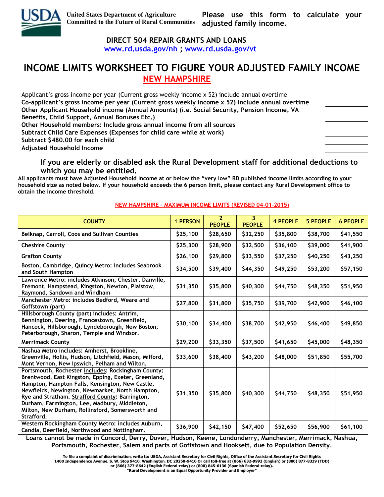

 **DIRECT 504 REPAIR GRANTS AND LOANS** 

 **[www.rd.usda.gov/nh](http://www.rd.usda.gov/nh) ; [www.rd.usda.gov/vt](http://www.rd.usda.gov/vt)**

# **INCOME LIMITS WORKSHEET TO FIGURE YOUR ADJUSTED FAMILY INCOME NEW HAMPSHIRE**

| Applicant's gross income per year (Current gross weekly income x 52) include annual overtime    |  |
|-------------------------------------------------------------------------------------------------|--|
| Co-applicant's gross income per year (Current gross weekly income x 52) include annual overtime |  |
| Other Applicant Household income (Annual Amounts) (i.e. Social Security, Pension Income, VA     |  |
| Benefits, Child Support, Annual Bonuses Etc.)                                                   |  |
| Other Household members: Include gross annual income from all sources                           |  |
| Subtract Child Care Expenses (Expenses for child care while at work)                            |  |
| Subtract \$480.00 for each child                                                                |  |
| <b>Adjusted Household Income</b>                                                                |  |
|                                                                                                 |  |

#### **If you are elderly or disabled ask the Rural Development staff for additional deductions to which you may be entitled.**

**All applicants must have Adjusted Household Income at or below the "very low" RD published income limits according to your household size as noted below. If your household exceeds the 6 person limit, please contact any Rural Development office to obtain the income threshold.** 

#### **COUNTY 1 PERSON <sup>2</sup> PEOPLE 3 PEOPLE 4 PEOPLE 5 PEOPLE 6 PEOPLE Belknap, Carroll, Coos and Sullivan Counties \$25,100 \$28,650 \$32,250 \$35,800 \$38,700 \$41,550 Cheshire County \$25,300 \$28,900 \$32,500 \$36,100 \$39,000 \$41,900 Grafton County \$26,100 \$29,800 \$33,550 \$37,250 \$40,250 \$43,250 Boston, Cambridge, Quincy Metro: includes Seabrook and South Hampton \$34,500 \$39,400 \$44,350 \$49,250 \$53,200 \$57,150 Lawrence Metro: includes Atkinson, Chester, Danville, Fremont, Hampstead, Kingston, Newton, Plaistow, Raymond, Sandown and Windham \$31,350 \$35,800 \$40,300 \$44,750 \$48,350 \$51,950 Manchester Metro: includes Bedford, Weare and Goffstown (part) \$27,800 \$31,800 \$35,750 \$39,700 \$42,900 \$46,100 Hillsborough County (part) includes: Antrim, Bennington, Deering, Francestown, Greenfield, Hancock, Hillsborough, Lyndeborough, New Boston, Peterborough, Sharon, Temple and Windsor. \$30,100 \$34,400 \$38,700 \$42,950 \$46,400 \$49,850 Merrimack County \$29,200 \$33,350 \$37,500 \$41,650 \$45,000 \$48,350 Nashua Metro includes: Amherst, Brookline, Greenville, Hollis, Hudson, Litchfield, Mason, Milford, Mont Vernon, New Ipswich, Pelham and Wilton. \$33,600 \$38,400 \$43,200 \$48,000 \$51,850 \$55,700 Portsmouth, Rochester includes: Rockingham County: Brentwood, East Kingston, Epping, Exeter, Greenland, Hampton, Hampton Falls, Kensington, New Castle, Newfields, Newington, Newmarket, North Hampton, Rye and Stratham. Strafford County: Barrington, Durham, Farmington, Lee, Madbury, Middleton, Milton, New Durham, Rollinsford, Somersworth and Strafford. \$31,350 \$35,800 \$40,300 \$44,750 \$48,350 \$51,950 Western Rockingham County Metro: includes Auburn, Candia, Deerfield, Northwood and Nottingham. 10.11.12.136.000 \$42,150 \$47,400 \$52,650 \$56,900 \$61,100 Candia, Deerfield, Northwood and Nottingham.** 10.12.1500 **\$47,400 \$56,900 \$56,900 \$61,100**

 **NEW HAMPSHIRE – MAXIMUM INCOME LIMITS (REVISED 04-01-2015)**

**Loans cannot be made in Concord, Derry, Dover, Hudson, Keene, Londonderry, Manchester, Merrimack, Nashua, Portsmouth, Rochester, Salem and parts of Goffstown and Hooksett, due to Population Density.**

**"Rural Development is an Equal Opportunity Provider and Employer"**